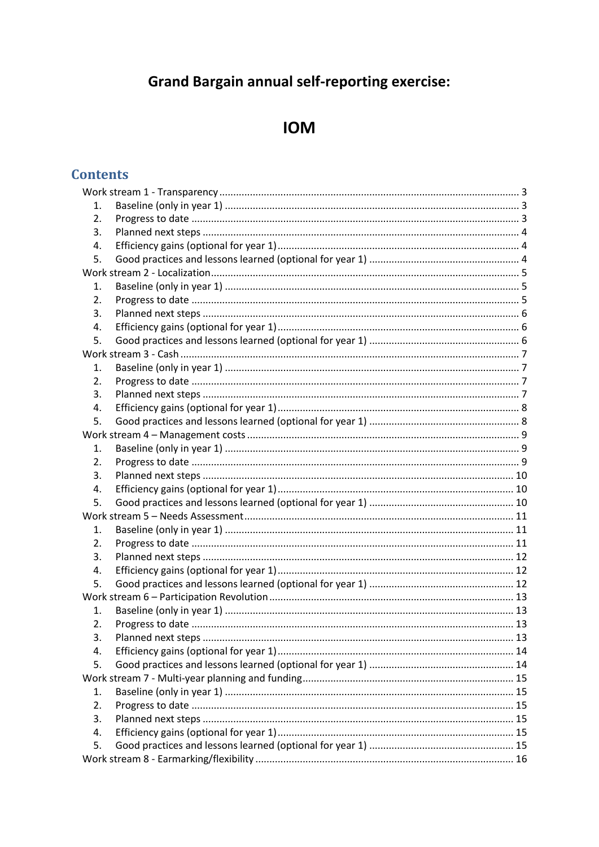# **Grand Bargain annual self-reporting exercise:**

# **IOM**

# **Contents**

| 1.               |  |  |  |
|------------------|--|--|--|
| 2.               |  |  |  |
| 3.               |  |  |  |
| 4.               |  |  |  |
| 5.               |  |  |  |
|                  |  |  |  |
| 1.               |  |  |  |
| 2.               |  |  |  |
| 3.               |  |  |  |
| 4.               |  |  |  |
| 5.               |  |  |  |
|                  |  |  |  |
| 1.               |  |  |  |
| $\overline{2}$ . |  |  |  |
| 3.               |  |  |  |
| 4.               |  |  |  |
| 5.               |  |  |  |
|                  |  |  |  |
| 1.               |  |  |  |
| 2.               |  |  |  |
| 3.               |  |  |  |
| 4.               |  |  |  |
| 5.               |  |  |  |
|                  |  |  |  |
| 1.               |  |  |  |
| 2.               |  |  |  |
| 3.               |  |  |  |
| 4.               |  |  |  |
| 5.               |  |  |  |
|                  |  |  |  |
| 1.               |  |  |  |
| 2.<br>3.         |  |  |  |
| 4.               |  |  |  |
| 5.               |  |  |  |
|                  |  |  |  |
| 1.               |  |  |  |
| 2.               |  |  |  |
| 3.               |  |  |  |
| 4.               |  |  |  |
| 5.               |  |  |  |
|                  |  |  |  |
|                  |  |  |  |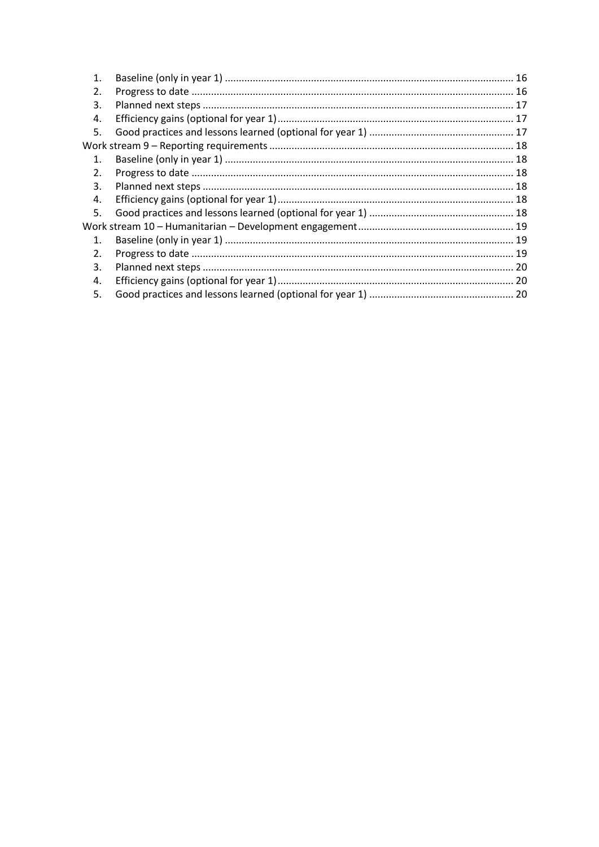| 1.             |  |
|----------------|--|
| 2.             |  |
| 3.             |  |
| 4.             |  |
| 5.             |  |
|                |  |
| $\mathbf{1}$   |  |
| 2.             |  |
| 3.             |  |
| 4.             |  |
| 5.             |  |
|                |  |
| $\mathbf{1}$ . |  |
| 2.             |  |
| 3.             |  |
| 4.             |  |
| 5.             |  |
|                |  |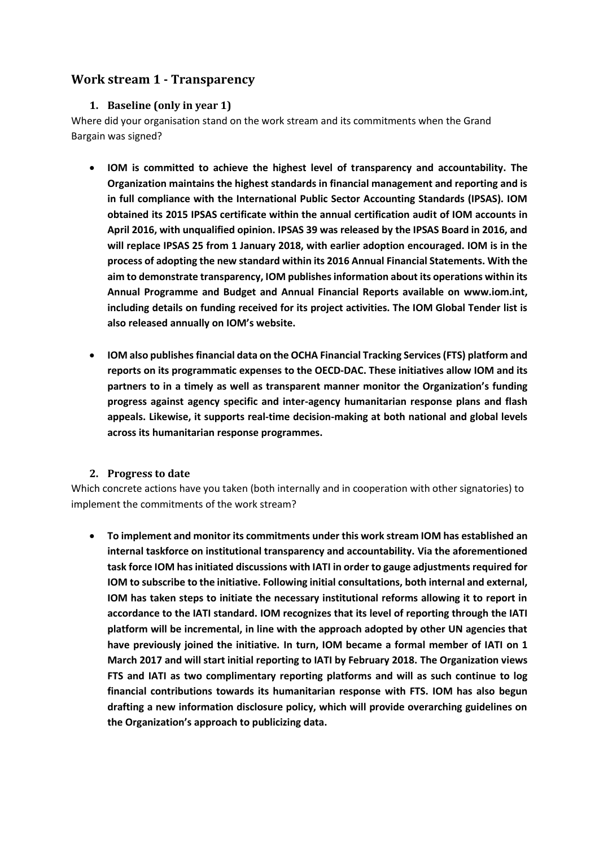# <span id="page-2-1"></span><span id="page-2-0"></span>**Work stream 1 - Transparency**

#### **1. Baseline (only in year 1)**

Where did your organisation stand on the work stream and its commitments when the Grand Bargain was signed?

- **IOM is committed to achieve the highest level of transparency and accountability. The Organization maintains the highest standards in financial management and reporting and is in full compliance with the International Public Sector Accounting Standards (IPSAS). IOM obtained its 2015 IPSAS certificate within the annual certification audit of IOM accounts in April 2016, with unqualified opinion. IPSAS 39 was released by the IPSAS Board in 2016, and will replace IPSAS 25 from 1 January 2018, with earlier adoption encouraged. IOM is in the process of adopting the new standard within its 2016 Annual Financial Statements. With the aim to demonstrate transparency, IOM publishes information about its operations within its Annual Programme and Budget and Annual Financial Reports available on [www.iom.int,](http://www.iom.int/) including details on funding received for its project activities. The IOM Global Tender list is also released annually on IOM's website.**
- **IOM also publishes financial data on the OCHA Financial Tracking Services (FTS) platform and reports on its programmatic expenses to the OECD-DAC. These initiatives allow IOM and its partners to in a timely as well as transparent manner monitor the Organization's funding progress against agency specific and inter-agency humanitarian response plans and flash appeals. Likewise, it supports real-time decision-making at both national and global levels across its humanitarian response programmes.**

#### **2. Progress to date**

<span id="page-2-2"></span>Which concrete actions have you taken (both internally and in cooperation with other signatories) to implement the commitments of the work stream?

 **To implement and monitor its commitments under this work stream IOM has established an internal taskforce on institutional transparency and accountability. Via the aforementioned task force IOM has initiated discussions with IATI in order to gauge adjustments required for IOM to subscribe to the initiative. Following initial consultations, both internal and external, IOM has taken steps to initiate the necessary institutional reforms allowing it to report in accordance to the IATI standard. IOM recognizes that its level of reporting through the IATI platform will be incremental, in line with the approach adopted by other UN agencies that have previously joined the initiative. In turn, IOM became a formal member of IATI on 1 March 2017 and will start initial reporting to IATI by February 2018. The Organization views FTS and IATI as two complimentary reporting platforms and will as such continue to log financial contributions towards its humanitarian response with FTS. IOM has also begun drafting a new information disclosure policy, which will provide overarching guidelines on the Organization's approach to publicizing data.**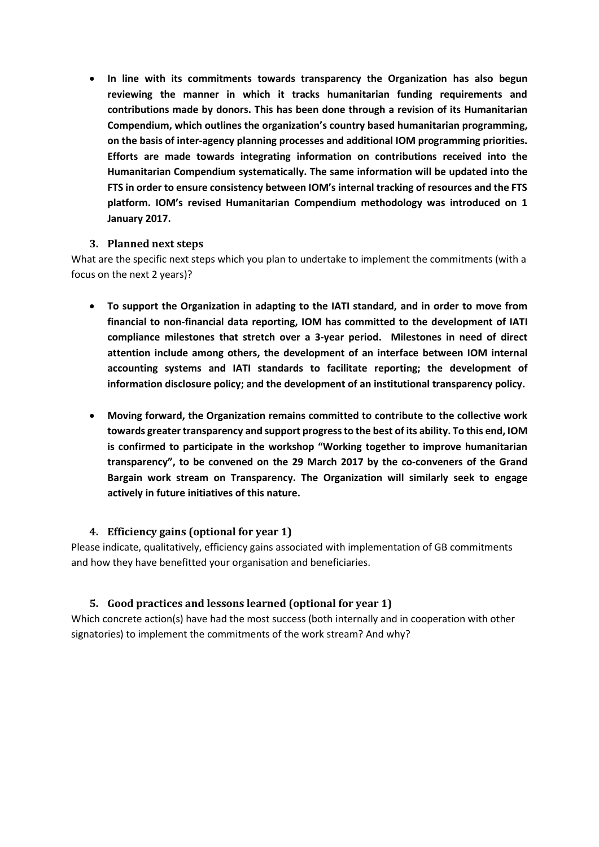**In line with its commitments towards transparency the Organization has also begun reviewing the manner in which it tracks humanitarian funding requirements and contributions made by donors. This has been done through a revision of its Humanitarian Compendium, which outlines the organization's country based humanitarian programming, on the basis of inter-agency planning processes and additional IOM programming priorities. Efforts are made towards integrating information on contributions received into the Humanitarian Compendium systematically. The same information will be updated into the FTS in order to ensure consistency between IOM's internal tracking of resources and the FTS platform. IOM's revised Humanitarian Compendium methodology was introduced on 1 January 2017.**

#### <span id="page-3-0"></span>**3. Planned next steps**

What are the specific next steps which you plan to undertake to implement the commitments (with a focus on the next 2 years)?

- **To support the Organization in adapting to the IATI standard, and in order to move from financial to non-financial data reporting, IOM has committed to the development of IATI compliance milestones that stretch over a 3-year period. Milestones in need of direct attention include among others, the development of an interface between IOM internal accounting systems and IATI standards to facilitate reporting; the development of information disclosure policy; and the development of an institutional transparency policy.**
- **Moving forward, the Organization remains committed to contribute to the collective work towards greater transparency and support progress to the best of its ability. To this end, IOM is confirmed to participate in the workshop "Working together to improve humanitarian transparency", to be convened on the 29 March 2017 by the co-conveners of the Grand Bargain work stream on Transparency. The Organization will similarly seek to engage actively in future initiatives of this nature.**

# **4. Efficiency gains (optional for year 1)**

<span id="page-3-1"></span>Please indicate, qualitatively, efficiency gains associated with implementation of GB commitments and how they have benefitted your organisation and beneficiaries.

# <span id="page-3-2"></span>**5. Good practices and lessons learned (optional for year 1)**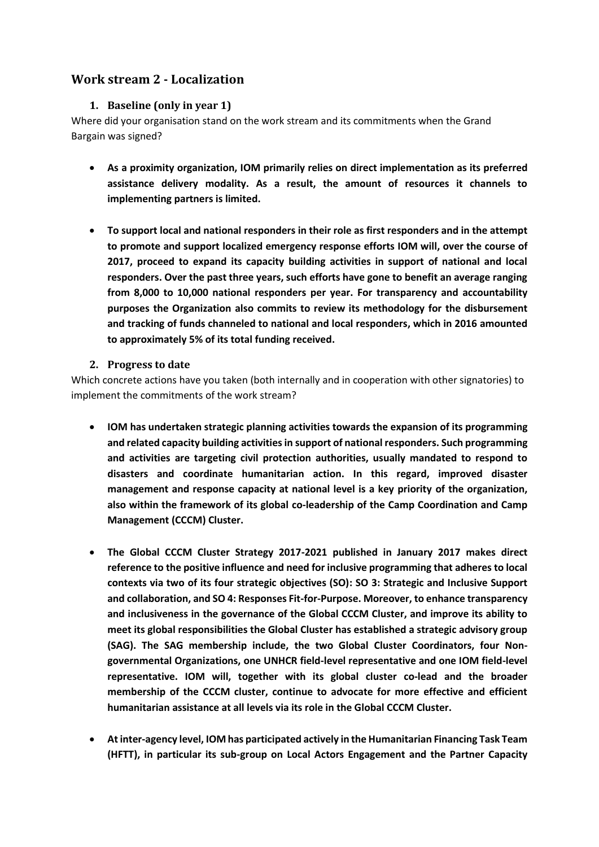# <span id="page-4-1"></span><span id="page-4-0"></span>**Work stream 2 - Localization**

### **1. Baseline (only in year 1)**

Where did your organisation stand on the work stream and its commitments when the Grand Bargain was signed?

- **As a proximity organization, IOM primarily relies on direct implementation as its preferred assistance delivery modality. As a result, the amount of resources it channels to implementing partners is limited.**
- **To support local and national responders in their role as first responders and in the attempt to promote and support localized emergency response efforts IOM will, over the course of 2017, proceed to expand its capacity building activities in support of national and local responders. Over the past three years, such efforts have gone to benefit an average ranging from 8,000 to 10,000 national responders per year. For transparency and accountability purposes the Organization also commits to review its methodology for the disbursement and tracking of funds channeled to national and local responders, which in 2016 amounted to approximately 5% of its total funding received.**

### <span id="page-4-2"></span>**2. Progress to date**

- **IOM has undertaken strategic planning activities towards the expansion of its programming and related capacity building activities in support of national responders. Such programming and activities are targeting civil protection authorities, usually mandated to respond to disasters and coordinate humanitarian action. In this regard, improved disaster management and response capacity at national level is a key priority of the organization, also within the framework of its global co-leadership of the Camp Coordination and Camp Management (CCCM) Cluster.**
- **The Global CCCM Cluster Strategy 2017-2021 published in January 2017 makes direct reference to the positive influence and need for inclusive programming that adheres to local contexts via two of its four strategic objectives (SO): SO 3: Strategic and Inclusive Support and collaboration, and SO 4: Responses Fit-for-Purpose. Moreover, to enhance transparency and inclusiveness in the governance of the Global CCCM Cluster, and improve its ability to meet its global responsibilities the Global Cluster has established a strategic advisory group (SAG). The SAG membership include, the two Global Cluster Coordinators, four Nongovernmental Organizations, one UNHCR field-level representative and one IOM field-level representative. IOM will, together with its global cluster co-lead and the broader membership of the CCCM cluster, continue to advocate for more effective and efficient humanitarian assistance at all levels via its role in the Global CCCM Cluster.**
- **At inter-agency level, IOM has participated actively in the Humanitarian Financing Task Team (HFTT), in particular its sub-group on Local Actors Engagement and the Partner Capacity**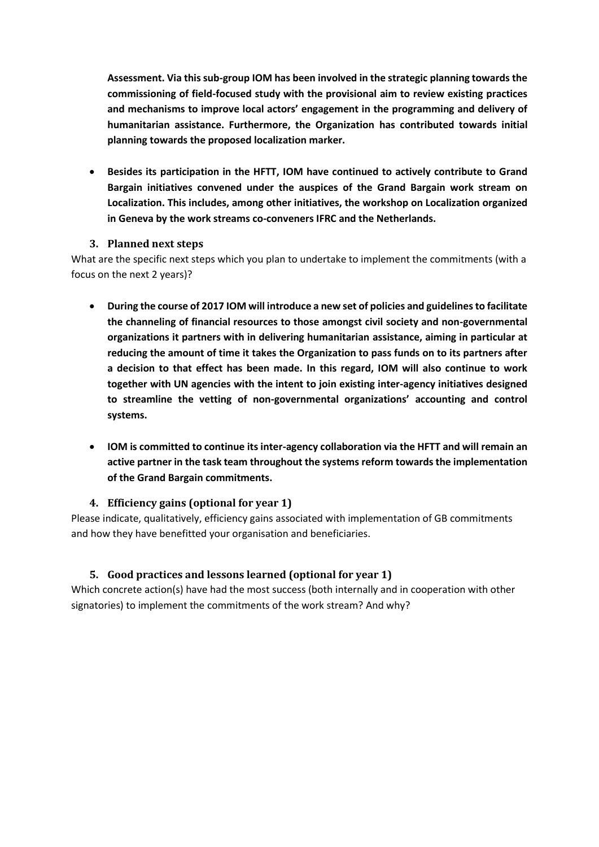**Assessment. Via this sub-group IOM has been involved in the strategic planning towards the commissioning of field-focused study with the provisional aim to review existing practices and mechanisms to improve local actors' engagement in the programming and delivery of humanitarian assistance. Furthermore, the Organization has contributed towards initial planning towards the proposed localization marker.**

 **Besides its participation in the HFTT, IOM have continued to actively contribute to Grand Bargain initiatives convened under the auspices of the Grand Bargain work stream on Localization. This includes, among other initiatives, the workshop on Localization organized in Geneva by the work streams co-conveners IFRC and the Netherlands.**

### <span id="page-5-0"></span>**3. Planned next steps**

What are the specific next steps which you plan to undertake to implement the commitments (with a focus on the next 2 years)?

- **During the course of 2017 IOM will introduce a new set of policies and guidelines to facilitate the channeling of financial resources to those amongst civil society and non-governmental organizations it partners with in delivering humanitarian assistance, aiming in particular at reducing the amount of time it takes the Organization to pass funds on to its partners after a decision to that effect has been made. In this regard, IOM will also continue to work together with UN agencies with the intent to join existing inter-agency initiatives designed to streamline the vetting of non-governmental organizations' accounting and control systems.**
- **IOM is committed to continue its inter-agency collaboration via the HFTT and will remain an active partner in the task team throughout the systems reform towards the implementation of the Grand Bargain commitments.**

#### <span id="page-5-1"></span>**4. Efficiency gains (optional for year 1)**

Please indicate, qualitatively, efficiency gains associated with implementation of GB commitments and how they have benefitted your organisation and beneficiaries.

# <span id="page-5-2"></span>**5. Good practices and lessons learned (optional for year 1)**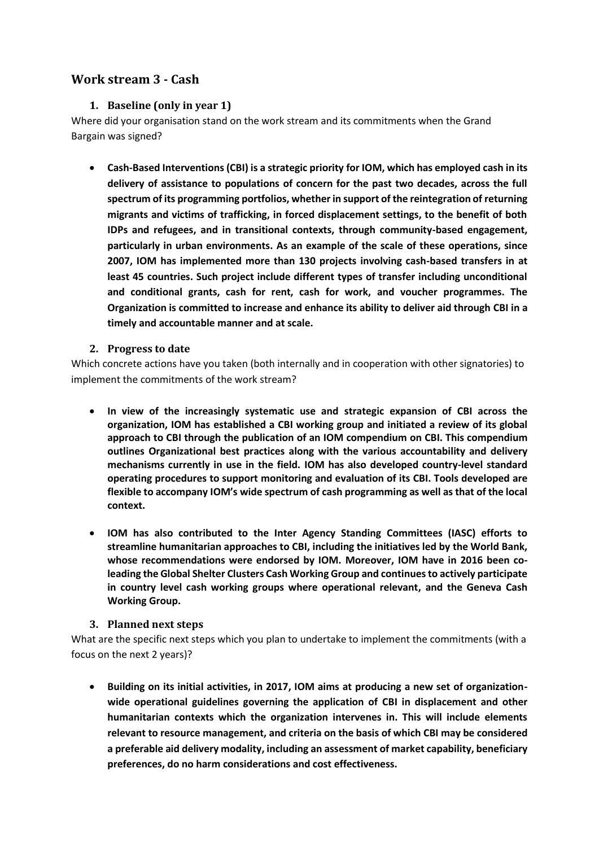# <span id="page-6-1"></span><span id="page-6-0"></span>**Work stream 3 - Cash**

## **1. Baseline (only in year 1)**

Where did your organisation stand on the work stream and its commitments when the Grand Bargain was signed?

 **Cash-Based Interventions (CBI) is a strategic priority for IOM, which has employed cash in its delivery of assistance to populations of concern for the past two decades, across the full spectrum of its programming portfolios, whether in support of the reintegration of returning migrants and victims of trafficking, in forced displacement settings, to the benefit of both IDPs and refugees, and in transitional contexts, through community-based engagement, particularly in urban environments. As an example of the scale of these operations, since 2007, IOM has implemented more than 130 projects involving cash-based transfers in at least 45 countries. Such project include different types of transfer including unconditional and conditional grants, cash for rent, cash for work, and voucher programmes. The Organization is committed to increase and enhance its ability to deliver aid through CBI in a timely and accountable manner and at scale.**

#### <span id="page-6-2"></span>**2. Progress to date**

Which concrete actions have you taken (both internally and in cooperation with other signatories) to implement the commitments of the work stream?

- **In view of the increasingly systematic use and strategic expansion of CBI across the organization, IOM has established a CBI working group and initiated a review of its global approach to CBI through the publication of an IOM compendium on CBI. This compendium outlines Organizational best practices along with the various accountability and delivery mechanisms currently in use in the field. IOM has also developed country-level standard operating procedures to support monitoring and evaluation of its CBI. Tools developed are flexible to accompany IOM's wide spectrum of cash programming as well as that of the local context.**
- **IOM has also contributed to the Inter Agency Standing Committees (IASC) efforts to streamline humanitarian approaches to CBI, including the initiatives led by the World Bank, whose recommendations were endorsed by IOM. Moreover, IOM have in 2016 been coleading the Global Shelter Clusters Cash Working Group and continues to actively participate in country level cash working groups where operational relevant, and the Geneva Cash Working Group.**

#### <span id="page-6-3"></span>**3. Planned next steps**

What are the specific next steps which you plan to undertake to implement the commitments (with a focus on the next 2 years)?

 **Building on its initial activities, in 2017, IOM aims at producing a new set of organizationwide operational guidelines governing the application of CBI in displacement and other humanitarian contexts which the organization intervenes in. This will include elements relevant to resource management, and criteria on the basis of which CBI may be considered a preferable aid delivery modality, including an assessment of market capability, beneficiary preferences, do no harm considerations and cost effectiveness.**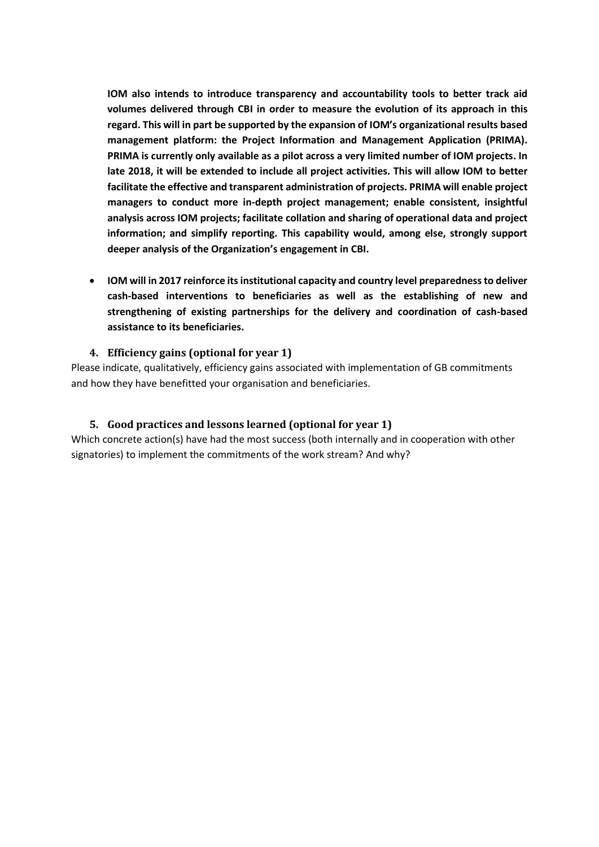**IOM also intends to introduce transparency and accountability tools to better track aid volumes delivered through CBI in order to measure the evolution of its approach in this regard. This will in part be supported by the expansion of IOM's organizational results based management platform: the Project Information and Management Application (PRIMA). PRIMA is currently only available as a pilot across a very limited number of IOM projects. In late 2018, it will be extended to include all project activities. This will allow IOM to better facilitate the effective and transparent administration of projects. PRIMA will enable project managers to conduct more in-depth project management; enable consistent, insightful analysis across IOM projects; facilitate collation and sharing of operational data and project information; and simplify reporting. This capability would, among else, strongly support deeper analysis of the Organization's engagement in CBI.** 

 **IOM will in 2017 reinforce its institutional capacity and country level preparedness to deliver cash-based interventions to beneficiaries as well as the establishing of new and strengthening of existing partnerships for the delivery and coordination of cash-based assistance to its beneficiaries.**

#### <span id="page-7-0"></span>**4. Efficiency gains (optional for year 1)**

Please indicate, qualitatively, efficiency gains associated with implementation of GB commitments and how they have benefitted your organisation and beneficiaries.

#### <span id="page-7-1"></span>**5. Good practices and lessons learned (optional for year 1)**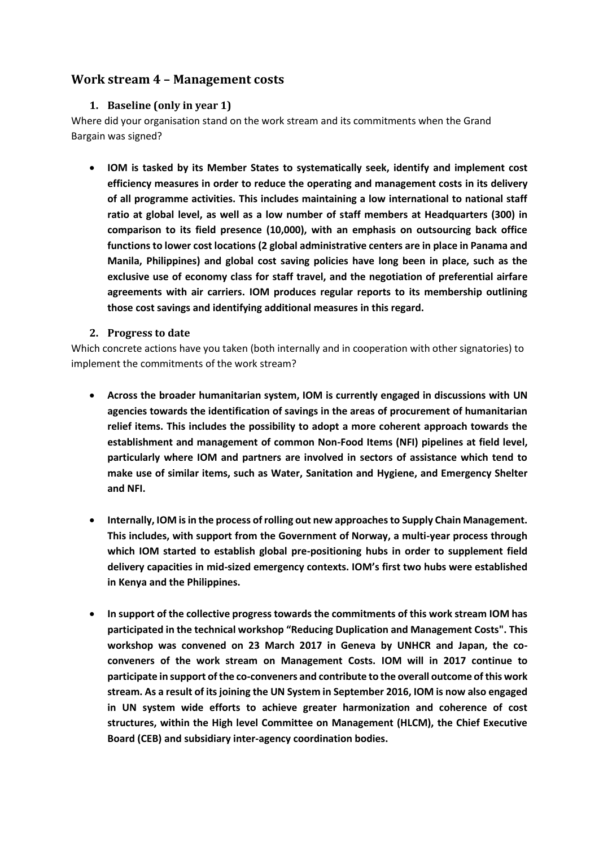# <span id="page-8-1"></span><span id="page-8-0"></span>**Work stream 4 – Management costs**

#### **1. Baseline (only in year 1)**

Where did your organisation stand on the work stream and its commitments when the Grand Bargain was signed?

 **IOM is tasked by its Member States to systematically seek, identify and implement cost efficiency measures in order to reduce the operating and management costs in its delivery of all programme activities. This includes maintaining a low international to national staff ratio at global level, as well as a low number of staff members at Headquarters (300) in comparison to its field presence (10,000), with an emphasis on outsourcing back office functions to lower cost locations (2 global administrative centers are in place in Panama and Manila, Philippines) and global cost saving policies have long been in place, such as the exclusive use of economy class for staff travel, and the negotiation of preferential airfare agreements with air carriers. IOM produces regular reports to its membership outlining those cost savings and identifying additional measures in this regard.** 

#### <span id="page-8-2"></span>**2. Progress to date**

- **Across the broader humanitarian system, IOM is currently engaged in discussions with UN agencies towards the identification of savings in the areas of procurement of humanitarian relief items. This includes the possibility to adopt a more coherent approach towards the establishment and management of common Non-Food Items (NFI) pipelines at field level, particularly where IOM and partners are involved in sectors of assistance which tend to make use of similar items, such as Water, Sanitation and Hygiene, and Emergency Shelter and NFI.**
- **Internally, IOM is in the process of rolling out new approaches to Supply Chain Management. This includes, with support from the Government of Norway, a multi-year process through which IOM started to establish global pre-positioning hubs in order to supplement field delivery capacities in mid-sized emergency contexts. IOM's first two hubs were established in Kenya and the Philippines.**
- **In support of the collective progress towards the commitments of this work stream IOM has participated in the technical workshop "Reducing Duplication and Management Costs". This workshop was convened on 23 March 2017 in Geneva by UNHCR and Japan, the coconveners of the work stream on Management Costs. IOM will in 2017 continue to participate in support of the co-conveners and contribute to the overall outcome of this work stream. As a result of its joining the UN System in September 2016, IOM is now also engaged in UN system wide efforts to achieve greater harmonization and coherence of cost structures, within the High level Committee on Management (HLCM), the Chief Executive Board (CEB) and subsidiary inter-agency coordination bodies.**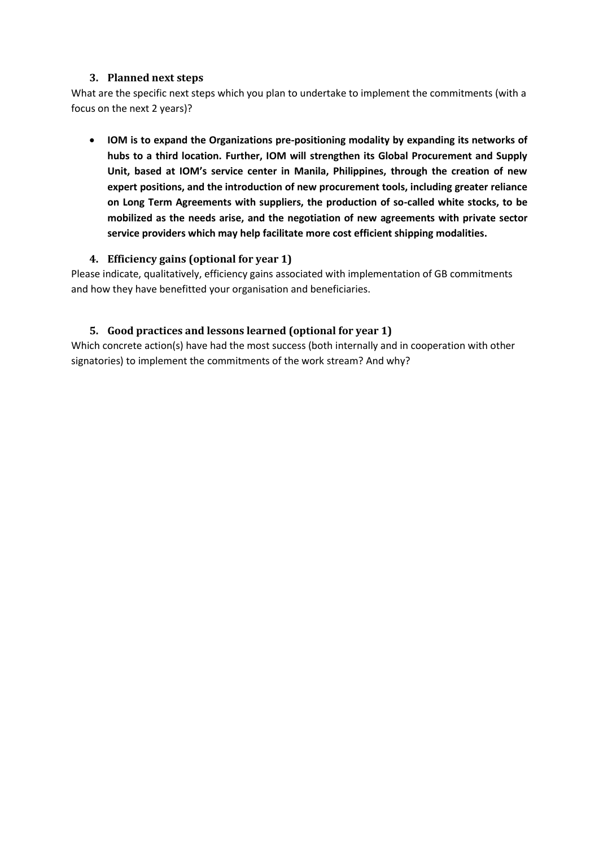<span id="page-9-0"></span>What are the specific next steps which you plan to undertake to implement the commitments (with a focus on the next 2 years)?

 **IOM is to expand the Organizations pre-positioning modality by expanding its networks of hubs to a third location. Further, IOM will strengthen its Global Procurement and Supply Unit, based at IOM's service center in Manila, Philippines, through the creation of new expert positions, and the introduction of new procurement tools, including greater reliance on Long Term Agreements with suppliers, the production of so-called white stocks, to be mobilized as the needs arise, and the negotiation of new agreements with private sector service providers which may help facilitate more cost efficient shipping modalities.** 

# <span id="page-9-1"></span>**4. Efficiency gains (optional for year 1)**

Please indicate, qualitatively, efficiency gains associated with implementation of GB commitments and how they have benefitted your organisation and beneficiaries.

### <span id="page-9-2"></span>**5. Good practices and lessons learned (optional for year 1)**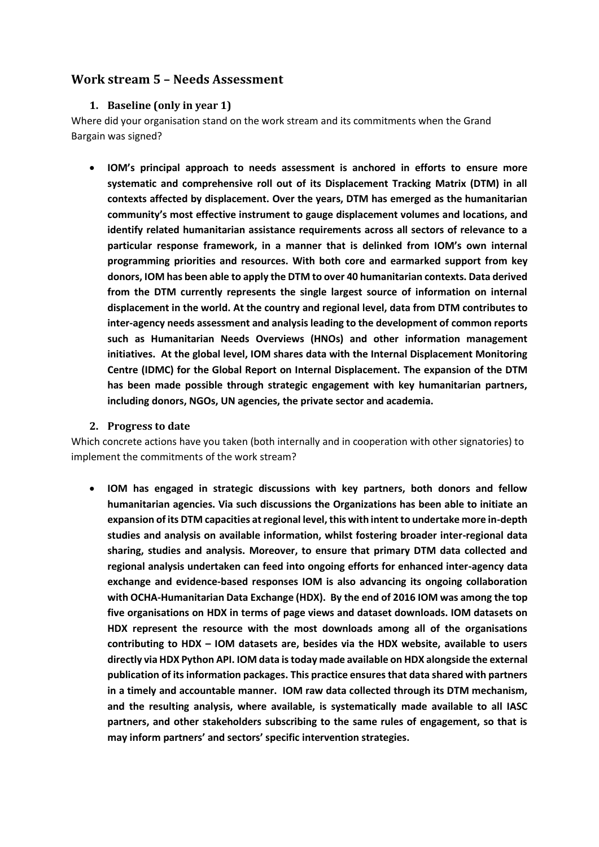# <span id="page-10-1"></span><span id="page-10-0"></span>**Work stream 5 – Needs Assessment**

#### **1. Baseline (only in year 1)**

Where did your organisation stand on the work stream and its commitments when the Grand Bargain was signed?

 **IOM's principal approach to needs assessment is anchored in efforts to ensure more systematic and comprehensive roll out of its Displacement Tracking Matrix (DTM) in all contexts affected by displacement. Over the years, DTM has emerged as the humanitarian community's most effective instrument to gauge displacement volumes and locations, and identify related humanitarian assistance requirements across all sectors of relevance to a particular response framework, in a manner that is delinked from IOM's own internal programming priorities and resources. With both core and earmarked support from key donors, IOM has been able to apply the DTM to over 40 humanitarian contexts. Data derived from the DTM currently represents the single largest source of information on internal displacement in the world. At the country and regional level, data from DTM contributes to inter-agency needs assessment and analysis leading to the development of common reports such as Humanitarian Needs Overviews (HNOs) and other information management initiatives. At the global level, IOM shares data with the Internal Displacement Monitoring Centre (IDMC) for the Global Report on Internal Displacement. The expansion of the DTM has been made possible through strategic engagement with key humanitarian partners, including donors, NGOs, UN agencies, the private sector and academia.**

#### <span id="page-10-2"></span>**2. Progress to date**

Which concrete actions have you taken (both internally and in cooperation with other signatories) to implement the commitments of the work stream?

 **IOM has engaged in strategic discussions with key partners, both donors and fellow humanitarian agencies. Via such discussions the Organizations has been able to initiate an expansion of its DTM capacities at regional level, this with intent to undertake more in-depth studies and analysis on available information, whilst fostering broader inter-regional data sharing, studies and analysis. Moreover, to ensure that primary DTM data collected and regional analysis undertaken can feed into ongoing efforts for enhanced inter-agency data exchange and evidence-based responses IOM is also advancing its ongoing collaboration with OCHA-Humanitarian Data Exchange (HDX). By the end of 2016 IOM was among the top five organisations on HDX in terms of page views and dataset downloads. IOM datasets on HDX represent the resource with the most downloads among all of the organisations contributing to HDX – IOM datasets are, besides via the HDX website, available to users directly via HDX Python API. IOM data is today made available on HDX alongside the external publication of its information packages. This practice ensures that data shared with partners in a timely and accountable manner. IOM raw data collected through its DTM mechanism, and the resulting analysis, where available, is systematically made available to all IASC partners, and other stakeholders subscribing to the same rules of engagement, so that is may inform partners' and sectors' specific intervention strategies.**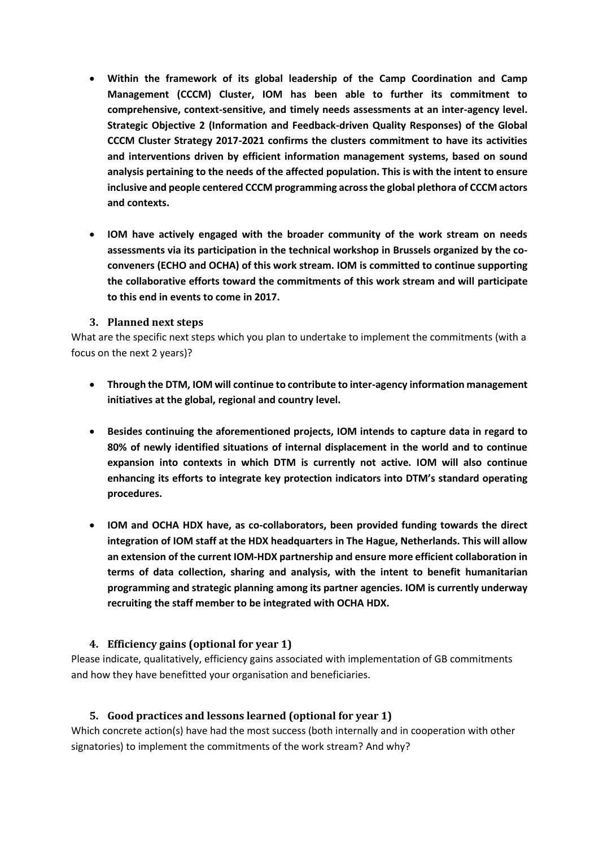- **Within the framework of its global leadership of the Camp Coordination and Camp Management (CCCM) Cluster, IOM has been able to further its commitment to comprehensive, context-sensitive, and timely needs assessments at an inter-agency level. Strategic Objective 2 (Information and Feedback-driven Quality Responses) of the Global CCCM Cluster Strategy 2017-2021 confirms the clusters commitment to have its activities and interventions driven by efficient information management systems, based on sound analysis pertaining to the needs of the affected population. This is with the intent to ensure inclusive and people centered CCCM programming across the global plethora of CCCM actors and contexts.**
- **IOM have actively engaged with the broader community of the work stream on needs assessments via its participation in the technical workshop in Brussels organized by the coconveners (ECHO and OCHA) of this work stream. IOM is committed to continue supporting the collaborative efforts toward the commitments of this work stream and will participate to this end in events to come in 2017.**

<span id="page-11-0"></span>What are the specific next steps which you plan to undertake to implement the commitments (with a focus on the next 2 years)?

- **Through the DTM, IOM will continue to contribute to inter-agency information management initiatives at the global, regional and country level.**
- **Besides continuing the aforementioned projects, IOM intends to capture data in regard to 80% of newly identified situations of internal displacement in the world and to continue expansion into contexts in which DTM is currently not active. IOM will also continue enhancing its efforts to integrate key protection indicators into DTM's standard operating procedures.**
- **IOM and OCHA HDX have, as co-collaborators, been provided funding towards the direct integration of IOM staff at the HDX headquarters in The Hague, Netherlands. This will allow an extension of the current IOM-HDX partnership and ensure more efficient collaboration in terms of data collection, sharing and analysis, with the intent to benefit humanitarian programming and strategic planning among its partner agencies. IOM is currently underway recruiting the staff member to be integrated with OCHA HDX.**

# <span id="page-11-1"></span>**4. Efficiency gains (optional for year 1)**

Please indicate, qualitatively, efficiency gains associated with implementation of GB commitments and how they have benefitted your organisation and beneficiaries.

# <span id="page-11-2"></span>**5. Good practices and lessons learned (optional for year 1)**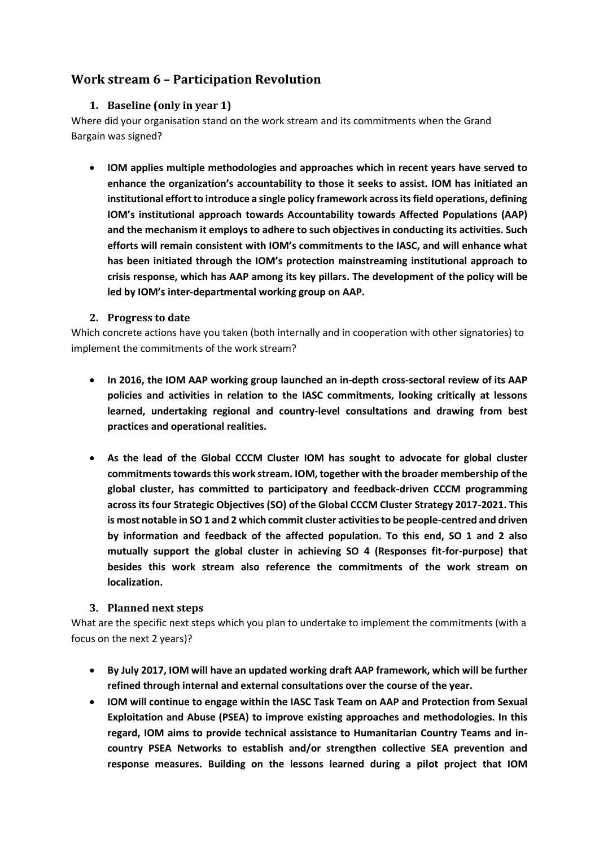# <span id="page-12-1"></span><span id="page-12-0"></span>**Work stream 6 – Participation Revolution**

### **1. Baseline (only in year 1)**

Where did your organisation stand on the work stream and its commitments when the Grand Bargain was signed?

 **IOM applies multiple methodologies and approaches which in recent years have served to enhance the organization's accountability to those it seeks to assist. IOM has initiated an institutional effort to introduce a single policy framework across its field operations, defining IOM's institutional approach towards Accountability towards Affected Populations (AAP) and the mechanism it employs to adhere to such objectives in conducting its activities. Such efforts will remain consistent with IOM's commitments to the IASC, and will enhance what has been initiated through the IOM's protection mainstreaming institutional approach to crisis response, which has AAP among its key pillars. The development of the policy will be led by IOM's inter-departmental working group on AAP.**

#### <span id="page-12-2"></span>**2. Progress to date**

Which concrete actions have you taken (both internally and in cooperation with other signatories) to implement the commitments of the work stream?

- **In 2016, the IOM AAP working group launched an in-depth cross-sectoral review of its AAP policies and activities in relation to the IASC commitments, looking critically at lessons learned, undertaking regional and country-level consultations and drawing from best practices and operational realities.**
- **As the lead of the Global CCCM Cluster IOM has sought to advocate for global cluster commitments towards this work stream. IOM, together with the broader membership of the global cluster, has committed to participatory and feedback-driven CCCM programming across its four Strategic Objectives (SO) of the Global CCCM Cluster Strategy 2017-2021. This is most notable in SO 1 and 2 which commit cluster activities to be people-centred and driven by information and feedback of the affected population. To this end, SO 1 and 2 also mutually support the global cluster in achieving SO 4 (Responses fit-for-purpose) that besides this work stream also reference the commitments of the work stream on localization.**

#### <span id="page-12-3"></span>**3. Planned next steps**

What are the specific next steps which you plan to undertake to implement the commitments (with a focus on the next 2 years)?

- **By July 2017, IOM will have an updated working draft AAP framework, which will be further refined through internal and external consultations over the course of the year.**
- **IOM will continue to engage within the IASC Task Team on AAP and Protection from Sexual Exploitation and Abuse (PSEA) to improve existing approaches and methodologies. In this regard, IOM aims to provide technical assistance to Humanitarian Country Teams and incountry PSEA Networks to establish and/or strengthen collective SEA prevention and response measures. Building on the lessons learned during a pilot project that IOM**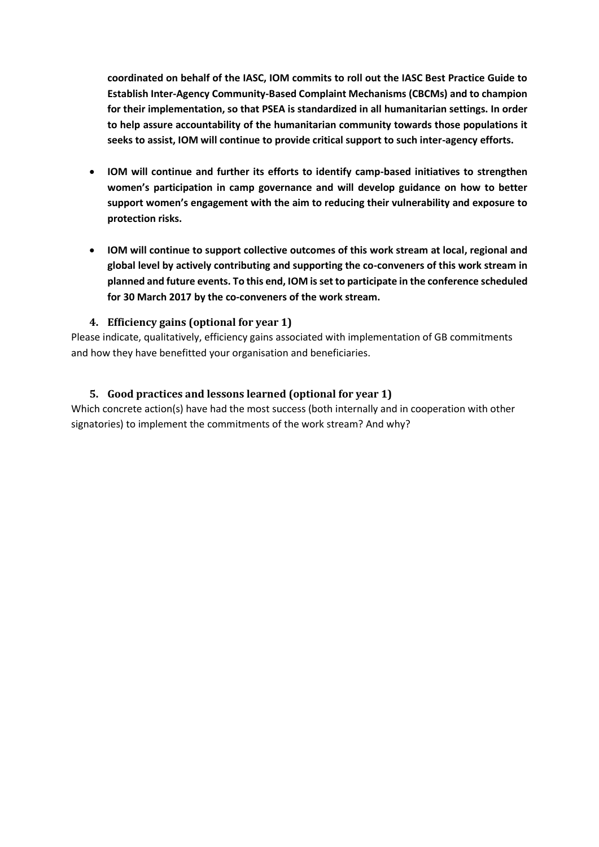**coordinated on behalf of the IASC, IOM commits to roll out the IASC Best Practice Guide to Establish Inter-Agency Community-Based Complaint Mechanisms (CBCMs) and to champion for their implementation, so that PSEA is standardized in all humanitarian settings. In order to help assure accountability of the humanitarian community towards those populations it seeks to assist, IOM will continue to provide critical support to such inter-agency efforts.**

- **IOM will continue and further its efforts to identify camp-based initiatives to strengthen women's participation in camp governance and will develop guidance on how to better support women's engagement with the aim to reducing their vulnerability and exposure to protection risks.**
- **IOM will continue to support collective outcomes of this work stream at local, regional and global level by actively contributing and supporting the co-conveners of this work stream in planned and future events. To this end, IOM is set to participate in the conference scheduled for 30 March 2017 by the co-conveners of the work stream.**

# <span id="page-13-0"></span>**4. Efficiency gains (optional for year 1)**

Please indicate, qualitatively, efficiency gains associated with implementation of GB commitments and how they have benefitted your organisation and beneficiaries.

### <span id="page-13-1"></span>**5. Good practices and lessons learned (optional for year 1)**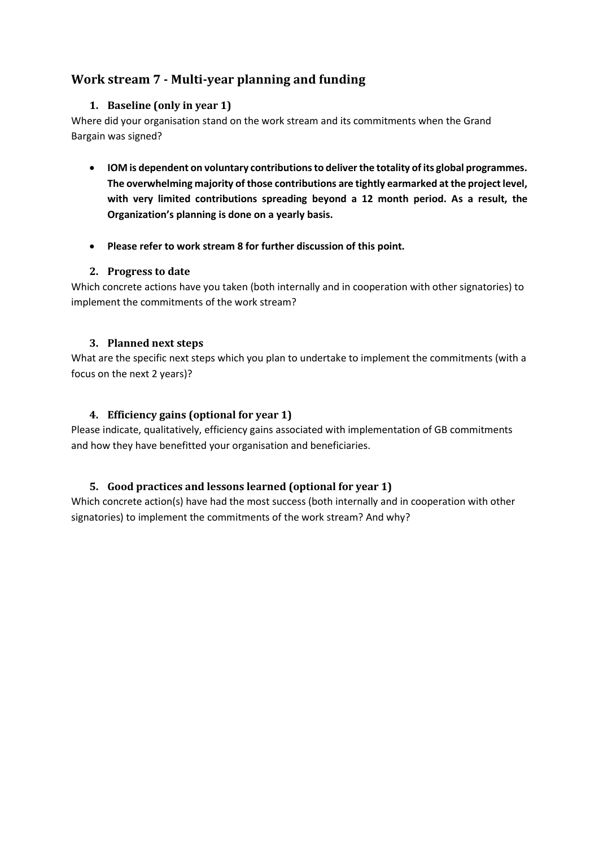# <span id="page-14-1"></span><span id="page-14-0"></span>**Work stream 7 - Multi-year planning and funding**

### **1. Baseline (only in year 1)**

Where did your organisation stand on the work stream and its commitments when the Grand Bargain was signed?

- **IOM is dependent on voluntary contributions to deliver the totality of its global programmes. The overwhelming majority of those contributions are tightly earmarked at the project level, with very limited contributions spreading beyond a 12 month period. As a result, the Organization's planning is done on a yearly basis.**
- **Please refer to work stream 8 for further discussion of this point.**

### <span id="page-14-2"></span>**2. Progress to date**

Which concrete actions have you taken (both internally and in cooperation with other signatories) to implement the commitments of the work stream?

### <span id="page-14-3"></span>**3. Planned next steps**

What are the specific next steps which you plan to undertake to implement the commitments (with a focus on the next 2 years)?

# <span id="page-14-4"></span>**4. Efficiency gains (optional for year 1)**

Please indicate, qualitatively, efficiency gains associated with implementation of GB commitments and how they have benefitted your organisation and beneficiaries.

# <span id="page-14-5"></span>**5. Good practices and lessons learned (optional for year 1)**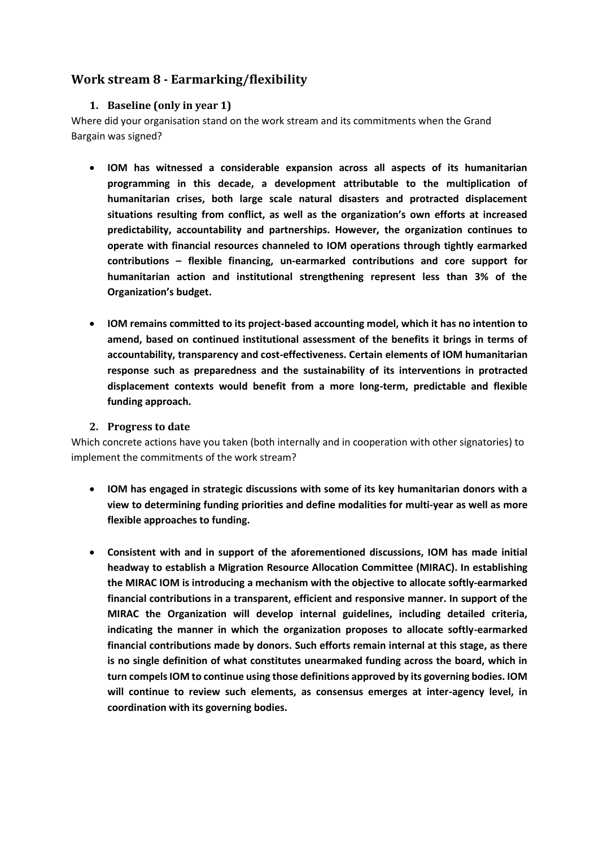# <span id="page-15-1"></span><span id="page-15-0"></span>**Work stream 8 - Earmarking/flexibility**

#### **1. Baseline (only in year 1)**

Where did your organisation stand on the work stream and its commitments when the Grand Bargain was signed?

- **IOM has witnessed a considerable expansion across all aspects of its humanitarian programming in this decade, a development attributable to the multiplication of humanitarian crises, both large scale natural disasters and protracted displacement situations resulting from conflict, as well as the organization's own efforts at increased predictability, accountability and partnerships. However, the organization continues to operate with financial resources channeled to IOM operations through tightly earmarked contributions – flexible financing, un-earmarked contributions and core support for humanitarian action and institutional strengthening represent less than 3% of the Organization's budget.**
- **IOM remains committed to its project-based accounting model, which it has no intention to amend, based on continued institutional assessment of the benefits it brings in terms of accountability, transparency and cost-effectiveness. Certain elements of IOM humanitarian response such as preparedness and the sustainability of its interventions in protracted displacement contexts would benefit from a more long-term, predictable and flexible funding approach.**
- <span id="page-15-2"></span>**2. Progress to date**

- **IOM has engaged in strategic discussions with some of its key humanitarian donors with a view to determining funding priorities and define modalities for multi-year as well as more flexible approaches to funding.**
- **Consistent with and in support of the aforementioned discussions, IOM has made initial headway to establish a Migration Resource Allocation Committee (MIRAC). In establishing the MIRAC IOM is introducing a mechanism with the objective to allocate softly-earmarked financial contributions in a transparent, efficient and responsive manner. In support of the MIRAC the Organization will develop internal guidelines, including detailed criteria, indicating the manner in which the organization proposes to allocate softly-earmarked financial contributions made by donors. Such efforts remain internal at this stage, as there is no single definition of what constitutes unearmaked funding across the board, which in turn compels IOM to continue using those definitions approved by its governing bodies. IOM will continue to review such elements, as consensus emerges at inter-agency level, in coordination with its governing bodies.**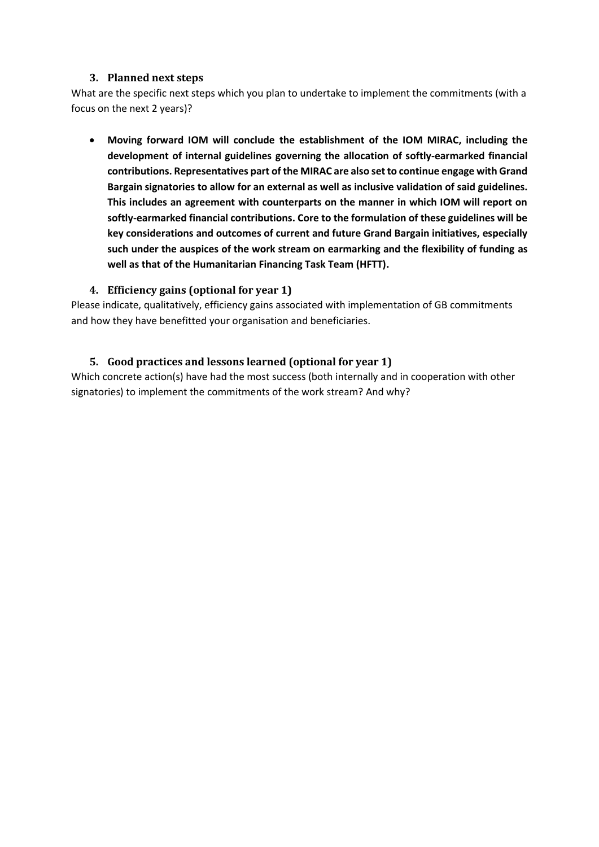<span id="page-16-0"></span>What are the specific next steps which you plan to undertake to implement the commitments (with a focus on the next 2 years)?

<span id="page-16-1"></span> **Moving forward IOM will conclude the establishment of the IOM MIRAC, including the development of internal guidelines governing the allocation of softly-earmarked financial contributions. Representatives part of the MIRAC are also set to continue engage with Grand Bargain signatories to allow for an external as well as inclusive validation of said guidelines. This includes an agreement with counterparts on the manner in which IOM will report on softly-earmarked financial contributions. Core to the formulation of these guidelines will be key considerations and outcomes of current and future Grand Bargain initiatives, especially such under the auspices of the work stream on earmarking and the flexibility of funding as well as that of the Humanitarian Financing Task Team (HFTT).**

### **4. Efficiency gains (optional for year 1)**

Please indicate, qualitatively, efficiency gains associated with implementation of GB commitments and how they have benefitted your organisation and beneficiaries.

### <span id="page-16-2"></span>**5. Good practices and lessons learned (optional for year 1)**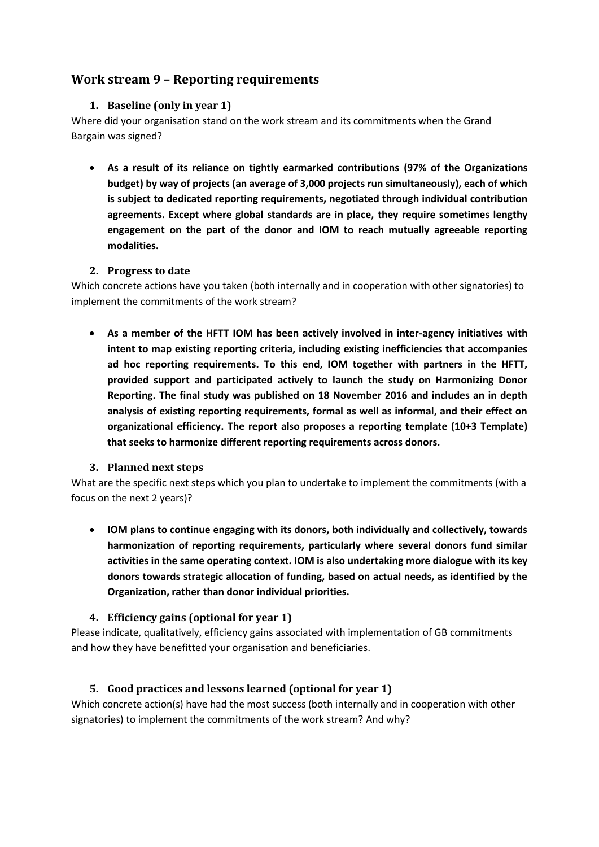# <span id="page-17-1"></span><span id="page-17-0"></span>**Work stream 9 – Reporting requirements**

# **1. Baseline (only in year 1)**

Where did your organisation stand on the work stream and its commitments when the Grand Bargain was signed?

 **As a result of its reliance on tightly earmarked contributions (97% of the Organizations budget) by way of projects (an average of 3,000 projects run simultaneously), each of which is subject to dedicated reporting requirements, negotiated through individual contribution agreements. Except where global standards are in place, they require sometimes lengthy engagement on the part of the donor and IOM to reach mutually agreeable reporting modalities.** 

### <span id="page-17-2"></span>**2. Progress to date**

Which concrete actions have you taken (both internally and in cooperation with other signatories) to implement the commitments of the work stream?

 **As a member of the HFTT IOM has been actively involved in inter-agency initiatives with intent to map existing reporting criteria, including existing inefficiencies that accompanies ad hoc reporting requirements. To this end, IOM together with partners in the HFTT, provided support and participated actively to launch the study on Harmonizing Donor Reporting. The final study was published on 18 November 2016 and includes an in depth analysis of existing reporting requirements, formal as well as informal, and their effect on organizational efficiency. The report also proposes a reporting template (10+3 Template) that seeks to harmonize different reporting requirements across donors.**

# <span id="page-17-3"></span>**3. Planned next steps**

What are the specific next steps which you plan to undertake to implement the commitments (with a focus on the next 2 years)?

 **IOM plans to continue engaging with its donors, both individually and collectively, towards harmonization of reporting requirements, particularly where several donors fund similar activities in the same operating context. IOM is also undertaking more dialogue with its key donors towards strategic allocation of funding, based on actual needs, as identified by the Organization, rather than donor individual priorities.** 

# <span id="page-17-4"></span>**4. Efficiency gains (optional for year 1)**

Please indicate, qualitatively, efficiency gains associated with implementation of GB commitments and how they have benefitted your organisation and beneficiaries.

# <span id="page-17-5"></span>**5. Good practices and lessons learned (optional for year 1)**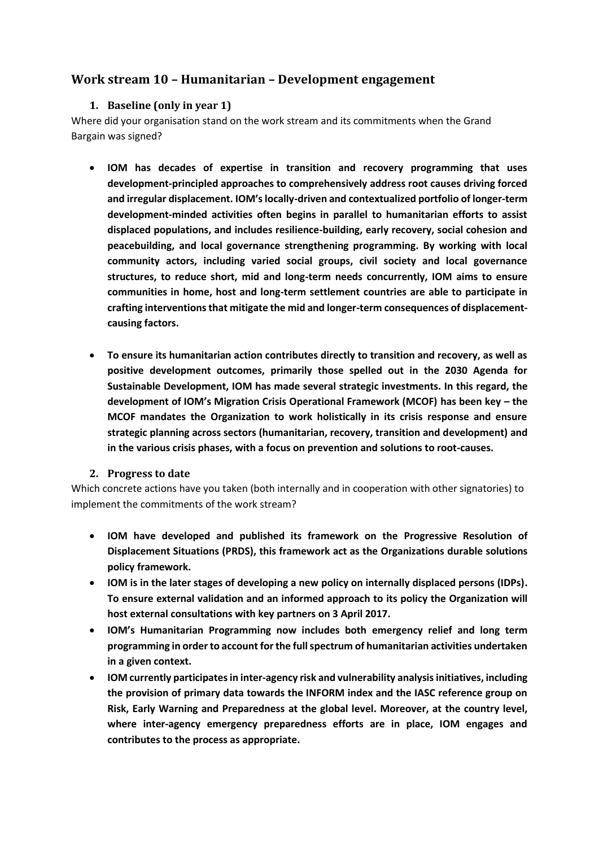# <span id="page-18-1"></span><span id="page-18-0"></span>**Work stream 10 – Humanitarian – Development engagement**

#### **1. Baseline (only in year 1)**

Where did your organisation stand on the work stream and its commitments when the Grand Bargain was signed?

- **IOM has decades of expertise in transition and recovery programming that uses development-principled approaches to comprehensively address root causes driving forced and irregular displacement. IOM's locally-driven and contextualized portfolio of longer-term development-minded activities often begins in parallel to humanitarian efforts to assist displaced populations, and includes resilience-building, early recovery, social cohesion and peacebuilding, and local governance strengthening programming. By working with local community actors, including varied social groups, civil society and local governance structures, to reduce short, mid and long-term needs concurrently, IOM aims to ensure communities in home, host and long-term settlement countries are able to participate in crafting interventions that mitigate the mid and longer-term consequences of displacementcausing factors.**
- **To ensure its humanitarian action contributes directly to transition and recovery, as well as positive development outcomes, primarily those spelled out in the 2030 Agenda for Sustainable Development, IOM has made several strategic investments. In this regard, the development of IOM's Migration Crisis Operational Framework (MCOF) has been key – the MCOF mandates the Organization to work holistically in its crisis response and ensure strategic planning across sectors (humanitarian, recovery, transition and development) and in the various crisis phases, with a focus on prevention and solutions to root-causes.**

#### <span id="page-18-2"></span>**2. Progress to date**

- **IOM have developed and published its framework on the Progressive Resolution of Displacement Situations (PRDS), this framework act as the Organizations durable solutions policy framework.**
- **IOM is in the later stages of developing a new policy on internally displaced persons (IDPs). To ensure external validation and an informed approach to its policy the Organization will host external consultations with key partners on 3 April 2017.**
- **IOM's Humanitarian Programming now includes both emergency relief and long term programming in order to account for the full spectrum of humanitarian activities undertaken in a given context.**
- **IOM currently participatesin inter-agency risk and vulnerability analysisinitiatives, including the provision of primary data towards the INFORM index and the IASC reference group on Risk, Early Warning and Preparedness at the global level. Moreover, at the country level, where inter-agency emergency preparedness efforts are in place, IOM engages and contributes to the process as appropriate.**